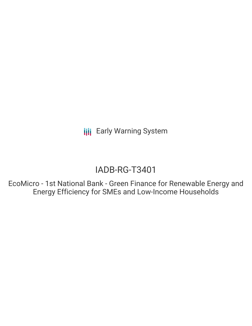**III** Early Warning System

# IADB-RG-T3401

EcoMicro - 1st National Bank - Green Finance for Renewable Energy and Energy Efficiency for SMEs and Low-Income Households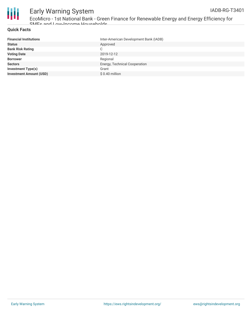

# Early Warning System

EcoMicro - 1st National Bank - Green Finance for Renewable Energy and Energy Efficiency for SMEs and Low-Income Households

#### **Quick Facts**

| <b>Financial Institutions</b>  | Inter-American Development Bank (IADB) |
|--------------------------------|----------------------------------------|
| <b>Status</b>                  | Approved                               |
| <b>Bank Risk Rating</b>        | C                                      |
| <b>Voting Date</b>             | 2019-12-12                             |
| <b>Borrower</b>                | Regional                               |
| <b>Sectors</b>                 | Energy, Technical Cooperation          |
| Investment Type(s)             | Grant                                  |
| <b>Investment Amount (USD)</b> | $$0.40$ million                        |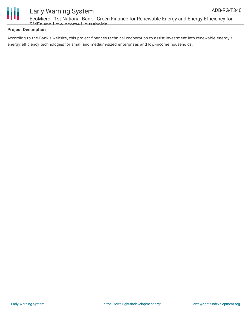



# Early Warning System

EcoMicro - 1st National Bank - Green Finance for Renewable Energy and Energy Efficiency for SMEs and Low-Income Households

#### **Project Description**

According to the Bank's website, this project finances technical cooperation to assist investment into renewable energy / energy efficiency technologies for small and medium-sized enterprises and low-income households.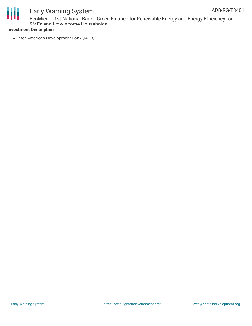

### Early Warning System

EcoMicro - 1st National Bank - Green Finance for Renewable Energy and Energy Efficiency for SMEs and Low-Income Households

#### **Investment Description**

• Inter-American Development Bank (IADB)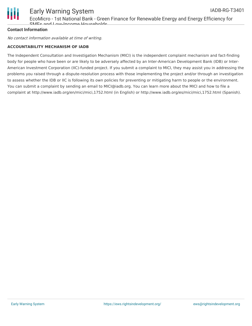

#### **Contact Information**

No contact information available at time of writing.

#### **ACCOUNTABILITY MECHANISM OF IADB**

The Independent Consultation and Investigation Mechanism (MICI) is the independent complaint mechanism and fact-finding body for people who have been or are likely to be adversely affected by an Inter-American Development Bank (IDB) or Inter-American Investment Corporation (IIC)-funded project. If you submit a complaint to MICI, they may assist you in addressing the problems you raised through a dispute-resolution process with those implementing the project and/or through an investigation to assess whether the IDB or IIC is following its own policies for preventing or mitigating harm to people or the environment. You can submit a complaint by sending an email to MICI@iadb.org. You can learn more about the MICI and how to file a complaint at http://www.iadb.org/en/mici/mici,1752.html (in English) or http://www.iadb.org/es/mici/mici,1752.html (Spanish).